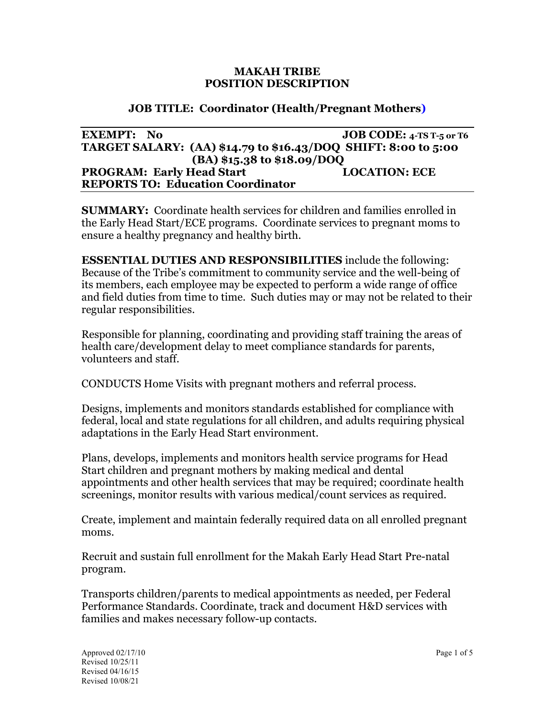#### **MAKAH TRIBE POSITION DESCRIPTION**

## **JOB TITLE: Coordinator (Health/Pregnant Mothers)**

| <b>EXEMPT:</b> No                                              | JOB CODE: $4$ -TS T-5 or T6 |
|----------------------------------------------------------------|-----------------------------|
| TARGET SALARY: (AA) \$14.79 to \$16.43/DOQ SHIFT: 8:00 to 5:00 |                             |
| $(BA)$ \$15.38 to \$18.09/DOO                                  |                             |
| <b>PROGRAM: Early Head Start</b>                               | <b>LOCATION: ECE</b>        |
| <b>REPORTS TO: Education Coordinator</b>                       |                             |

**SUMMARY:** Coordinate health services for children and families enrolled in the Early Head Start/ECE programs. Coordinate services to pregnant moms to ensure a healthy pregnancy and healthy birth.

**ESSENTIAL DUTIES AND RESPONSIBILITIES** include the following: Because of the Tribe's commitment to community service and the well-being of its members, each employee may be expected to perform a wide range of office and field duties from time to time. Such duties may or may not be related to their regular responsibilities.

Responsible for planning, coordinating and providing staff training the areas of health care/development delay to meet compliance standards for parents, volunteers and staff.

CONDUCTS Home Visits with pregnant mothers and referral process.

Designs, implements and monitors standards established for compliance with federal, local and state regulations for all children, and adults requiring physical adaptations in the Early Head Start environment.

Plans, develops, implements and monitors health service programs for Head Start children and pregnant mothers by making medical and dental appointments and other health services that may be required; coordinate health screenings, monitor results with various medical/count services as required.

Create, implement and maintain federally required data on all enrolled pregnant moms.

Recruit and sustain full enrollment for the Makah Early Head Start Pre-natal program.

Transports children/parents to medical appointments as needed, per Federal Performance Standards. Coordinate, track and document H&D services with families and makes necessary follow-up contacts.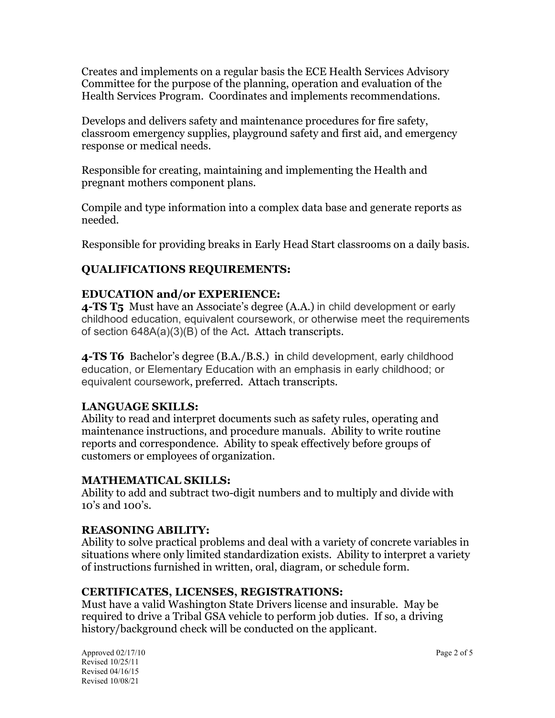Creates and implements on a regular basis the ECE Health Services Advisory Committee for the purpose of the planning, operation and evaluation of the Health Services Program. Coordinates and implements recommendations.

Develops and delivers safety and maintenance procedures for fire safety, classroom emergency supplies, playground safety and first aid, and emergency response or medical needs.

Responsible for creating, maintaining and implementing the Health and pregnant mothers component plans.

Compile and type information into a complex data base and generate reports as needed.

Responsible for providing breaks in Early Head Start classrooms on a daily basis.

# **QUALIFICATIONS REQUIREMENTS:**

# **EDUCATION and/or EXPERIENCE:**

**4-TS T5** Must have an Associate's degree (A.A.) in child development or early childhood education, equivalent coursework, or otherwise meet the requirements of section 648A(a)(3)(B) of the Act. Attach transcripts.

**4-TS T6** Bachelor's degree (B.A./B.S.) in child development, early childhood education, or Elementary Education with an emphasis in early childhood; or equivalent coursework, preferred. Attach transcripts.

## **LANGUAGE SKILLS:**

Ability to read and interpret documents such as safety rules, operating and maintenance instructions, and procedure manuals. Ability to write routine reports and correspondence. Ability to speak effectively before groups of customers or employees of organization.

## **MATHEMATICAL SKILLS:**

Ability to add and subtract two-digit numbers and to multiply and divide with 10's and 100's.

## **REASONING ABILITY:**

Ability to solve practical problems and deal with a variety of concrete variables in situations where only limited standardization exists. Ability to interpret a variety of instructions furnished in written, oral, diagram, or schedule form.

## **CERTIFICATES, LICENSES, REGISTRATIONS:**

Must have a valid Washington State Drivers license and insurable. May be required to drive a Tribal GSA vehicle to perform job duties. If so, a driving history/background check will be conducted on the applicant.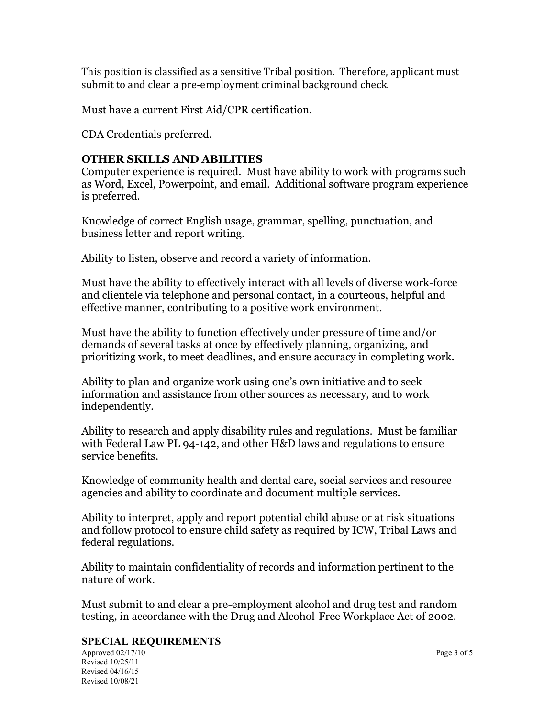This position is classified as a sensitive Tribal position. Therefore, applicant must submit to and clear a pre-employment criminal background check.

Must have a current First Aid/CPR certification.

CDA Credentials preferred.

### **OTHER SKILLS AND ABILITIES**

Computer experience is required. Must have ability to work with programs such as Word, Excel, Powerpoint, and email. Additional software program experience is preferred.

Knowledge of correct English usage, grammar, spelling, punctuation, and business letter and report writing.

Ability to listen, observe and record a variety of information.

Must have the ability to effectively interact with all levels of diverse work-force and clientele via telephone and personal contact, in a courteous, helpful and effective manner, contributing to a positive work environment.

Must have the ability to function effectively under pressure of time and/or demands of several tasks at once by effectively planning, organizing, and prioritizing work, to meet deadlines, and ensure accuracy in completing work.

Ability to plan and organize work using one's own initiative and to seek information and assistance from other sources as necessary, and to work independently.

Ability to research and apply disability rules and regulations. Must be familiar with Federal Law PL 94-142, and other H&D laws and regulations to ensure service benefits.

Knowledge of community health and dental care, social services and resource agencies and ability to coordinate and document multiple services.

Ability to interpret, apply and report potential child abuse or at risk situations and follow protocol to ensure child safety as required by ICW, Tribal Laws and federal regulations.

Ability to maintain confidentiality of records and information pertinent to the nature of work.

Must submit to and clear a pre-employment alcohol and drug test and random testing, in accordance with the Drug and Alcohol-Free Workplace Act of 2002.

#### **SPECIAL REQUIREMENTS**

Approved 02/17/10 Page 3 of 5 Revised 10/25/11 Revised 04/16/15 Revised 10/08/21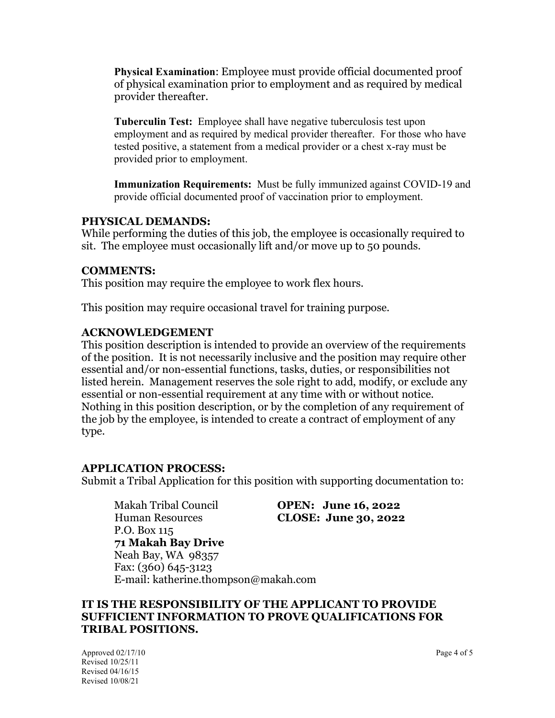**Physical Examination**: Employee must provide official documented proof of physical examination prior to employment and as required by medical provider thereafter.

**Tuberculin Test:** Employee shall have negative tuberculosis test upon employment and as required by medical provider thereafter. For those who have tested positive, a statement from a medical provider or a chest x-ray must be provided prior to employment.

**Immunization Requirements:** Must be fully immunized against COVID-19 and provide official documented proof of vaccination prior to employment.

### **PHYSICAL DEMANDS:**

While performing the duties of this job, the employee is occasionally required to sit. The employee must occasionally lift and/or move up to 50 pounds.

#### **COMMENTS:**

This position may require the employee to work flex hours.

This position may require occasional travel for training purpose.

#### **ACKNOWLEDGEMENT**

This position description is intended to provide an overview of the requirements of the position. It is not necessarily inclusive and the position may require other essential and/or non-essential functions, tasks, duties, or responsibilities not listed herein. Management reserves the sole right to add, modify, or exclude any essential or non-essential requirement at any time with or without notice. Nothing in this position description, or by the completion of any requirement of the job by the employee, is intended to create a contract of employment of any type.

#### **APPLICATION PROCESS:**

Submit a Tribal Application for this position with supporting documentation to:

Makah Tribal Council **OPEN: June 16, 2022** Human Resources **CLOSE: June 30, 2022** P.O. Box 115 **71 Makah Bay Drive**  Neah Bay, WA 98357 Fax: (360) 645-3123 E-mail: katherine.thompson@makah.com

### **IT IS THE RESPONSIBILITY OF THE APPLICANT TO PROVIDE SUFFICIENT INFORMATION TO PROVE QUALIFICATIONS FOR TRIBAL POSITIONS.**

Approved 02/17/10 Page 4 of 5 Revised 10/25/11 Revised 04/16/15 Revised 10/08/21